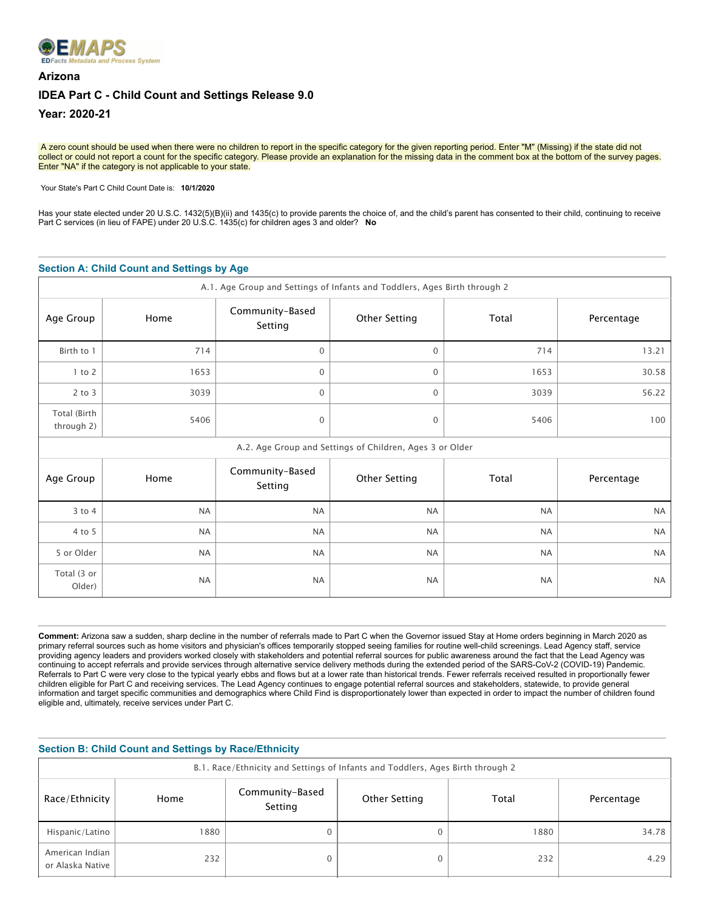

# **Arizona IDEA Part C - Child Count and Settings Release 9.0 Year: 2020-21**

A zero count should be used when there were no children to report in the specific category for the given reporting period. Enter "M" (Missing) if the state did not collect or could not report a count for the specific category. Please provide an explanation for the missing data in the comment box at the bottom of the survey pages. Enter "NA" if the category is not applicable to your state.

Your State's Part C Child Count Date is: **10/1/2020** 

Has your state elected under 20 U.S.C. 1432(5)(B)(ii) and 1435(c) to provide parents the choice of, and the child's parent has consented to their child, continuing to receive Part C services (in lieu of FAPE) under 20 U.S.C. 1435(c) for children ages 3 and older? **No**

#### **Section A: Child Count and Settings by Age**

| A.1. Age Group and Settings of Infants and Toddlers, Ages Birth through 2 |           |                            |                                                          |           |            |  |  |
|---------------------------------------------------------------------------|-----------|----------------------------|----------------------------------------------------------|-----------|------------|--|--|
| Age Group                                                                 | Home      | Community-Based<br>Setting | <b>Other Setting</b>                                     | Total     | Percentage |  |  |
| Birth to 1                                                                | 714       | $\Omega$                   | $\mathbf{0}$                                             | 714       | 13.21      |  |  |
| $1$ to $2$                                                                | 1653      | $\mathbf 0$                | $\mathbf 0$                                              | 1653      | 30.58      |  |  |
| $2$ to $3$                                                                | 3039      | $\mathbf 0$                | 0                                                        | 3039      | 56.22      |  |  |
| Total (Birth<br>through 2)                                                | 5406      | $\mathbf 0$                | $\mathbf{0}$                                             | 5406      | 100        |  |  |
|                                                                           |           |                            | A.2. Age Group and Settings of Children, Ages 3 or Older |           |            |  |  |
| Age Group                                                                 | Home      | Community-Based<br>Setting | <b>Other Setting</b>                                     | Total     | Percentage |  |  |
| 3 to 4                                                                    | <b>NA</b> | <b>NA</b>                  | <b>NA</b>                                                | <b>NA</b> | <b>NA</b>  |  |  |
| 4 to 5                                                                    | <b>NA</b> | <b>NA</b>                  | <b>NA</b>                                                | <b>NA</b> | <b>NA</b>  |  |  |
| 5 or Older                                                                | <b>NA</b> | <b>NA</b>                  | <b>NA</b>                                                | <b>NA</b> | <b>NA</b>  |  |  |
| Total (3 or<br>Older)                                                     | <b>NA</b> | <b>NA</b>                  | <b>NA</b>                                                | <b>NA</b> | <b>NA</b>  |  |  |

**Comment:** Arizona saw a sudden, sharp decline in the number of referrals made to Part C when the Governor issued Stay at Home orders beginning in March 2020 as primary referral sources such as home visitors and physician's offices temporarily stopped seeing families for routine well-child screenings. Lead Agency staff, service providing agency leaders and providers worked closely with stakeholders and potential referral sources for public awareness around the fact that the Lead Agency was continuing to accept referrals and provide services through alternative service delivery methods during the extended period of the SARS-CoV-2 (COVID-19) Pandemic. Referrals to Part C were very close to the typical yearly ebbs and flows but at a lower rate than historical trends. Fewer referrals received resulted in proportionally fewer children eligible for Part C and receiving services. The Lead Agency continues to engage potential referral sources and stakeholders, statewide, to provide general information and target specific communities and demographics where Child Find is disproportionately lower than expected in order to impact the number of children found eligible and, ultimately, receive services under Part C.

| <b>Section B: Child Count and Settings by Race/Ethnicity</b> |                                                                                |                            |               |       |            |  |  |
|--------------------------------------------------------------|--------------------------------------------------------------------------------|----------------------------|---------------|-------|------------|--|--|
|                                                              | B.1. Race/Ethnicity and Settings of Infants and Toddlers, Ages Birth through 2 |                            |               |       |            |  |  |
| Race/Ethnicity                                               | Home                                                                           | Community-Based<br>Setting | Other Setting | Total | Percentage |  |  |
| Hispanic/Latino                                              | 880                                                                            | 0                          |               | 1880  | 34.78      |  |  |
| American Indian<br>or Alaska Native                          | 232                                                                            | 0                          |               | 232   | 4.29       |  |  |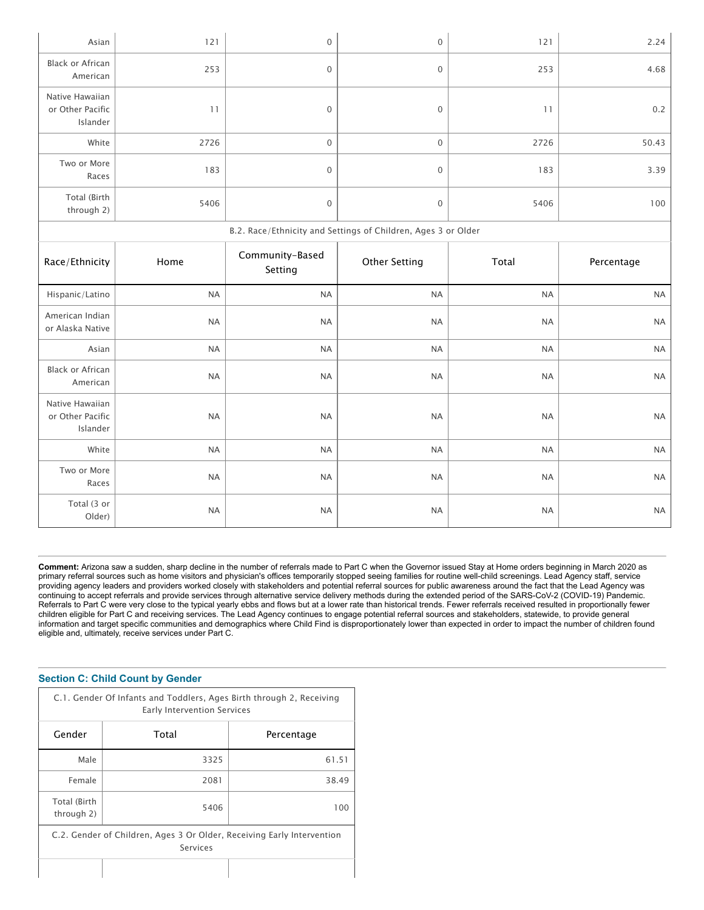| Asian                                           | 121       | $\boldsymbol{0}$           | $\boldsymbol{0}$                                              | 121       | 2.24       |
|-------------------------------------------------|-----------|----------------------------|---------------------------------------------------------------|-----------|------------|
| <b>Black or African</b><br>American             | 253       | $\boldsymbol{0}$           | $\boldsymbol{0}$                                              | 253       | 4.68       |
| Native Hawaiian<br>or Other Pacific<br>Islander | 11        | $\boldsymbol{0}$           | $\boldsymbol{0}$                                              | 11        | 0.2        |
| White                                           | 2726      | $\mathbf 0$                | $\mathbf{O}$                                                  | 2726      | 50.43      |
| Two or More<br>Races                            | 183       | $\boldsymbol{0}$           | $\boldsymbol{0}$                                              | 183       | 3.39       |
| Total (Birth<br>through 2)                      | 5406      | $\boldsymbol{0}$           | $\boldsymbol{0}$                                              | 5406      | 100        |
|                                                 |           |                            | B.2. Race/Ethnicity and Settings of Children, Ages 3 or Older |           |            |
| Race/Ethnicity                                  | Home      | Community-Based<br>Setting | <b>Other Setting</b>                                          | Total     | Percentage |
|                                                 |           |                            |                                                               |           |            |
| Hispanic/Latino                                 | <b>NA</b> | <b>NA</b>                  | $\sf NA$                                                      | <b>NA</b> | <b>NA</b>  |
| American Indian<br>or Alaska Native             | <b>NA</b> | <b>NA</b>                  | <b>NA</b>                                                     | <b>NA</b> | <b>NA</b>  |
| Asian                                           | <b>NA</b> | <b>NA</b>                  | <b>NA</b>                                                     | <b>NA</b> | <b>NA</b>  |
| <b>Black or African</b><br>American             | <b>NA</b> | <b>NA</b>                  | <b>NA</b>                                                     | <b>NA</b> | <b>NA</b>  |
| Native Hawaiian<br>or Other Pacific<br>Islander | <b>NA</b> | <b>NA</b>                  | <b>NA</b>                                                     | <b>NA</b> | <b>NA</b>  |
| White                                           | <b>NA</b> | $\sf NA$                   | $\sf NA$                                                      | <b>NA</b> | <b>NA</b>  |
| Two or More<br>Races                            | <b>NA</b> | <b>NA</b>                  | <b>NA</b>                                                     | <b>NA</b> | <b>NA</b>  |

**Comment:** Arizona saw a sudden, sharp decline in the number of referrals made to Part C when the Governor issued Stay at Home orders beginning in March 2020 as primary referral sources such as home visitors and physician's offices temporarily stopped seeing families for routine well-child screenings. Lead Agency staff, service providing agency leaders and providers worked closely with stakeholders and potential referral sources for public awareness around the fact that the Lead Agency was continuing to accept referrals and provide services through alternative service delivery methods during the extended period of the SARS-CoV-2 (COVID-19) Pandemic. Referrals to Part C were very close to the typical yearly ebbs and flows but at a lower rate than historical trends. Fewer referrals received resulted in proportionally fewer children eligible for Part C and receiving services. The Lead Agency continues to engage potential referral sources and stakeholders, statewide, to provide general information and target specific communities and demographics where Child Find is disproportionately lower than expected in order to impact the number of children found eligible and, ultimately, receive services under Part C.

#### **Section C: Child Count by Gender**

| C.1. Gender Of Infants and Toddlers, Ages Birth through 2, Receiving<br>Early Intervention Services |       |            |  |  |  |  |
|-----------------------------------------------------------------------------------------------------|-------|------------|--|--|--|--|
| Gender                                                                                              | Total | Percentage |  |  |  |  |
| Male                                                                                                | 3325  | 61.51      |  |  |  |  |
| Female                                                                                              | 2081  | 38.49      |  |  |  |  |
| Total (Birth<br>through 2)                                                                          | 5406  | ( ) ( )    |  |  |  |  |
| C.2. Gender of Children, Ages 3 Or Older, Receiving Early Intervention<br>Services                  |       |            |  |  |  |  |
|                                                                                                     |       |            |  |  |  |  |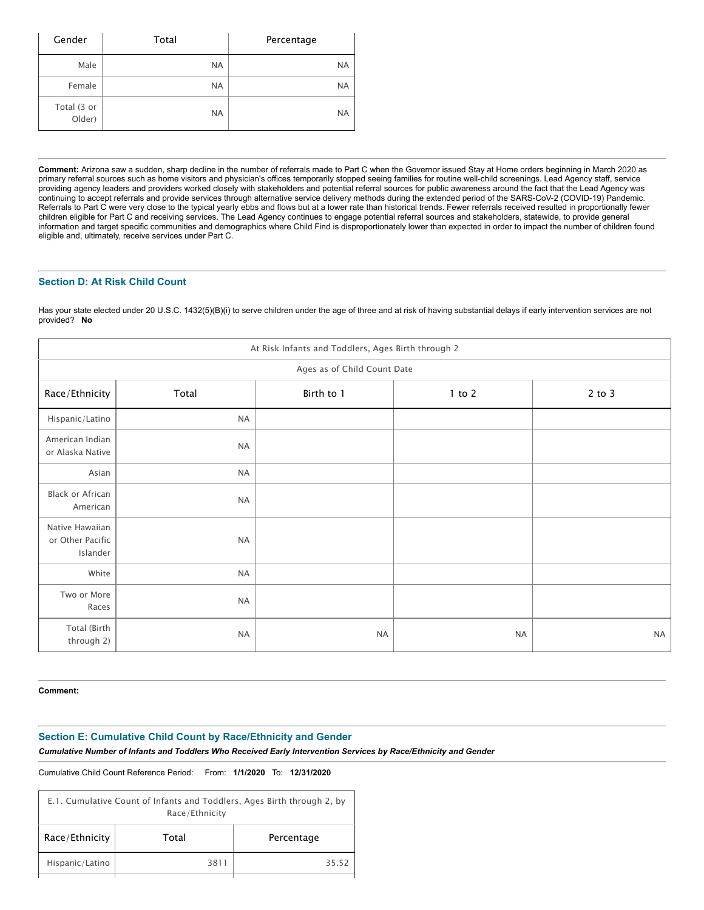| Gender                | Total     | Percentage |
|-----------------------|-----------|------------|
| Male                  | <b>NA</b> | <b>NA</b>  |
| Female                | <b>NA</b> | <b>NA</b>  |
| Total (3 or<br>Older) | <b>NA</b> | <b>NA</b>  |

**Comment:** Arizona saw a sudden, sharp decline in the number of referrals made to Part C when the Governor issued Stay at Home orders beginning in March 2020 as primary referral sources such as home visitors and physician's offices temporarily stopped seeing families for routine well-child screenings. Lead Agency staff, service providing agency leaders and providers worked closely with stakeholders and potential referral sources for public awareness around the fact that the Lead Agency was continuing to accept referrals and provide services through alternative service delivery methods during the extended period of the SARS-CoV-2 (COVID-19) Pandemic. Referrals to Part C were very close to the typical yearly ebbs and flows but at a lower rate than historical trends. Fewer referrals received resulted in proportionally fewer children eligible for Part C and receiving services. The Lead Agency continues to engage potential referral sources and stakeholders, statewide, to provide general information and target specific communities and demographics where Child Find is disproportionately lower than expected in order to impact the number of children found eligible and, ultimately, receive services under Part C.

#### **Section D: At Risk Child Count**

Has your state elected under 20 U.S.C. 1432(5)(B)(i) to serve children under the age of three and at risk of having substantial delays if early intervention services are not provided? **No**

| At Risk Infants and Toddlers, Ages Birth through 2 |                             |            |            |            |  |  |  |  |  |
|----------------------------------------------------|-----------------------------|------------|------------|------------|--|--|--|--|--|
|                                                    | Ages as of Child Count Date |            |            |            |  |  |  |  |  |
| Race/Ethnicity                                     | Total                       | Birth to 1 | $1$ to $2$ | $2$ to $3$ |  |  |  |  |  |
| Hispanic/Latino                                    | <b>NA</b>                   |            |            |            |  |  |  |  |  |
| American Indian<br>or Alaska Native                | <b>NA</b>                   |            |            |            |  |  |  |  |  |
| Asian                                              | <b>NA</b>                   |            |            |            |  |  |  |  |  |
| Black or African<br>American                       | <b>NA</b>                   |            |            |            |  |  |  |  |  |
| Native Hawaiian<br>or Other Pacific<br>Islander    | <b>NA</b>                   |            |            |            |  |  |  |  |  |
| White                                              | <b>NA</b>                   |            |            |            |  |  |  |  |  |
| Two or More<br>Races                               | <b>NA</b>                   |            |            |            |  |  |  |  |  |
| Total (Birth<br>through 2)                         | <b>NA</b>                   | <b>NA</b>  | <b>NA</b>  | <b>NA</b>  |  |  |  |  |  |

**Comment:**

#### **Section E: Cumulative Child Count by Race/Ethnicity and Gender**

*Cumulative Number of Infants and Toddlers Who Received Early Intervention Services by Race/Ethnicity and Gender*

Cumulative Child Count Reference Period: From: **1/1/2020** To: **12/31/2020**

| E.1. Cumulative Count of Infants and Toddlers, Ages Birth through 2, by<br>Race/Ethnicity |       |            |  |  |  |
|-------------------------------------------------------------------------------------------|-------|------------|--|--|--|
| Race/Ethnicity                                                                            | Total | Percentage |  |  |  |
| Hispanic/Latino                                                                           | 3811  | 35.52      |  |  |  |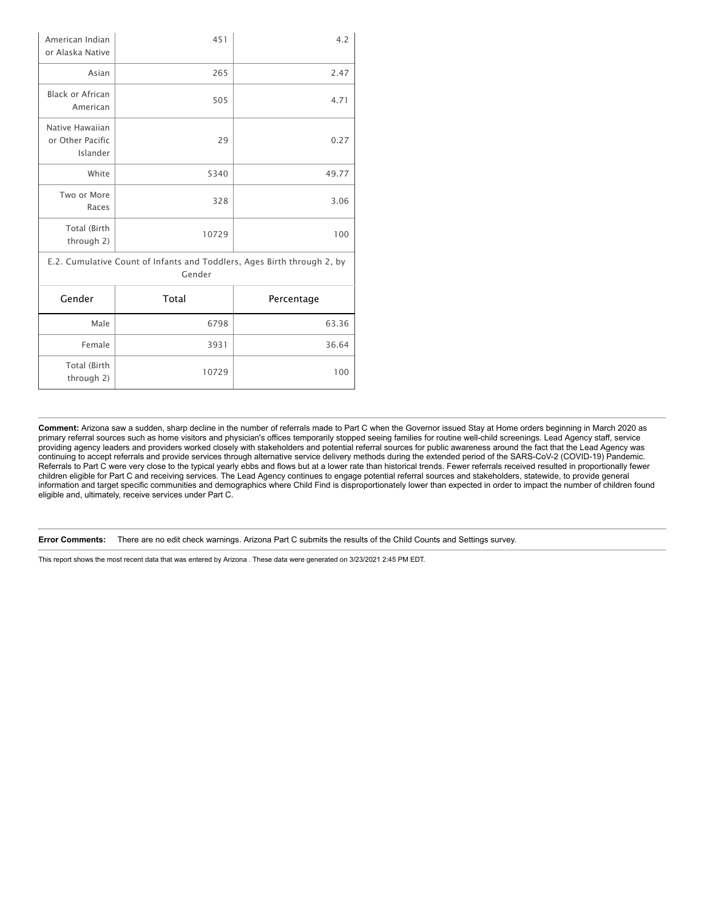| Total (Birth<br>through 2)                      | 10729                                                                             | 100        |
|-------------------------------------------------|-----------------------------------------------------------------------------------|------------|
| Female                                          | 3931                                                                              | 36.64      |
| Male                                            | 6798                                                                              | 63.36      |
| Gender                                          | Total                                                                             | Percentage |
|                                                 | E.2. Cumulative Count of Infants and Toddlers, Ages Birth through 2, by<br>Gender |            |
| Total (Birth<br>through 2)                      | 10729                                                                             | 100        |
| Two or More<br>Races                            | 328                                                                               | 3.06       |
| White                                           | 5340                                                                              | 49.77      |
| Native Hawaiian<br>or Other Pacific<br>Islander | 29                                                                                | 0.27       |
| <b>Black or African</b><br>American             | 505                                                                               | 4.71       |
| Asian                                           | 265                                                                               | 2.47       |
| American Indian<br>or Alaska Native             | 451                                                                               | 4.2        |

**Comment:** Arizona saw a sudden, sharp decline in the number of referrals made to Part C when the Governor issued Stay at Home orders beginning in March 2020 as primary referral sources such as home visitors and physician's offices temporarily stopped seeing families for routine well-child screenings. Lead Agency staff, service providing agency leaders and providers worked closely with stakeholders and potential referral sources for public awareness around the fact that the Lead Agency was continuing to accept referrals and provide services through alternative service delivery methods during the extended period of the SARS-CoV-2 (COVID-19) Pandemic. Referrals to Part C were very close to the typical yearly ebbs and flows but at a lower rate than historical trends. Fewer referrals received resulted in proportionally fewer children eligible for Part C and receiving services. The Lead Agency continues to engage potential referral sources and stakeholders, statewide, to provide general information and target specific communities and demographics where Child Find is disproportionately lower than expected in order to impact the number of children found eligible and, ultimately, receive services under Part C.

**Error Comments:** There are no edit check warnings. Arizona Part C submits the results of the Child Counts and Settings survey.

This report shows the most recent data that was entered by Arizona . These data were generated on 3/23/2021 2:45 PM EDT.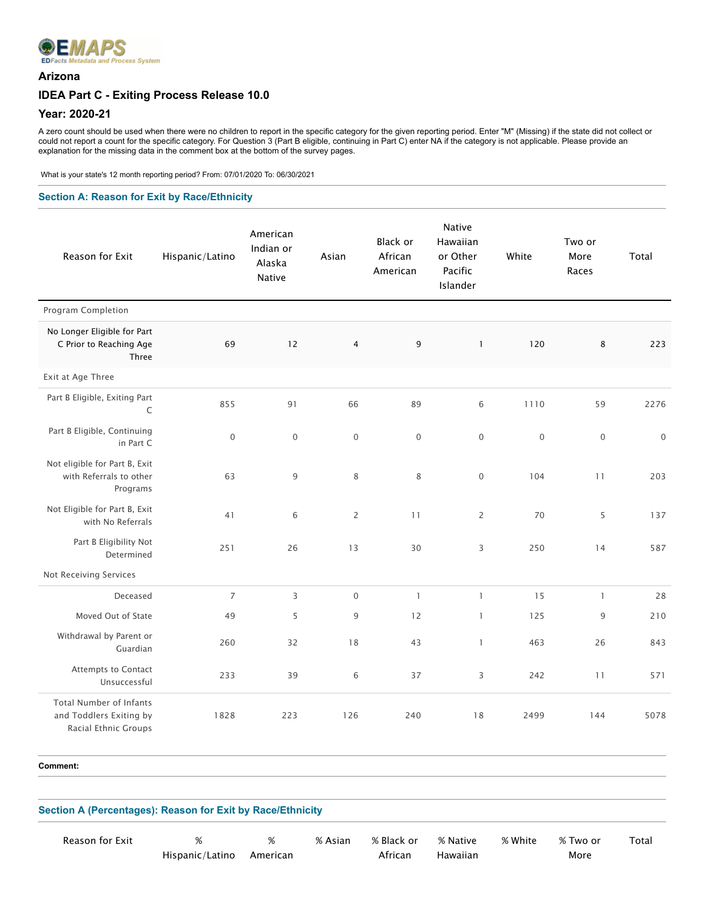

### **Arizona**

### **IDEA Part C - Exiting Process Release 10.0**

#### **Year: 2020-21**

A zero count should be used when there were no children to report in the specific category for the given reporting period. Enter "M" (Missing) if the state did not collect or could not report a count for the specific category. For Question 3 (Part B eligible, continuing in Part C) enter NA if the category is not applicable. Please provide an explanation for the missing data in the comment box at the bottom of the survey pages.

What is your state's 12 month reporting period? From: 07/01/2020 To: 06/30/2021

#### **Section A: Reason for Exit by Race/Ethnicity**

| Reason for Exit                                                                   | Hispanic/Latino | American<br>Indian or<br>Alaska<br>Native | Asian          | Black or<br>African<br>American | <b>Native</b><br>Hawaiian<br>or Other<br>Pacific<br>Islander | White        | Two or<br>More<br>Races | Total            |
|-----------------------------------------------------------------------------------|-----------------|-------------------------------------------|----------------|---------------------------------|--------------------------------------------------------------|--------------|-------------------------|------------------|
| Program Completion                                                                |                 |                                           |                |                                 |                                                              |              |                         |                  |
| No Longer Eligible for Part<br>C Prior to Reaching Age<br>Three                   | 69              | 12                                        | $\overline{4}$ | 9                               | $\mathbf{1}$                                                 | 120          | 8                       | 223              |
| Exit at Age Three                                                                 |                 |                                           |                |                                 |                                                              |              |                         |                  |
| Part B Eligible, Exiting Part<br>C                                                | 855             | 91                                        | 66             | 89                              | 6                                                            | 1110         | 59                      | 2276             |
| Part B Eligible, Continuing<br>in Part C                                          | $\mathbf 0$     | $\mathbf 0$                               | $\overline{0}$ | $\mathbf 0$                     | $\mathbf 0$                                                  | $\mathbf{0}$ | $\mathbf 0$             | $\boldsymbol{0}$ |
| Not eligible for Part B, Exit<br>with Referrals to other<br>Programs              | 63              | $9\,$                                     | 8              | 8                               | $\boldsymbol{0}$                                             | 104          | 11                      | 203              |
| Not Eligible for Part B, Exit<br>with No Referrals                                | 41              | 6                                         | $\overline{2}$ | 11                              | $\overline{2}$                                               | 70           | 5                       | 137              |
| Part B Eligibility Not<br>Determined                                              | 251             | 26                                        | 13             | 30                              | 3                                                            | 250          | 14                      | 587              |
| Not Receiving Services                                                            |                 |                                           |                |                                 |                                                              |              |                         |                  |
| Deceased                                                                          | $\overline{7}$  | $\overline{3}$                            | $\mathbf{0}$   | $\mathbf{1}$                    | $\mathbf{1}$                                                 | 15           | $\mathbf{1}$            | 28               |
| Moved Out of State                                                                | 49              | 5                                         | 9              | 12                              | $\mathbf{1}$                                                 | 125          | 9                       | 210              |
| Withdrawal by Parent or<br>Guardian                                               | 260             | 32                                        | 18             | 43                              | $\mathbf{1}$                                                 | 463          | 26                      | 843              |
| Attempts to Contact<br>Unsuccessful                                               | 233             | 39                                        | 6              | 37                              | 3                                                            | 242          | 11                      | 571              |
| <b>Total Number of Infants</b><br>and Toddlers Exiting by<br>Racial Ethnic Groups | 1828            | 223                                       | 126            | 240                             | 18                                                           | 2499         | 144                     | 5078             |

**Comment:** 

| Section A (Percentages): Reason for Exit by Race/Ethnicity |                      |               |         |                       |                      |         |                  |       |
|------------------------------------------------------------|----------------------|---------------|---------|-----------------------|----------------------|---------|------------------|-------|
| Reason for Exit                                            | %<br>Hispanic/Latino | %<br>American | % Asian | % Black or<br>African | % Native<br>Hawaiian | % White | % Two or<br>More | Total |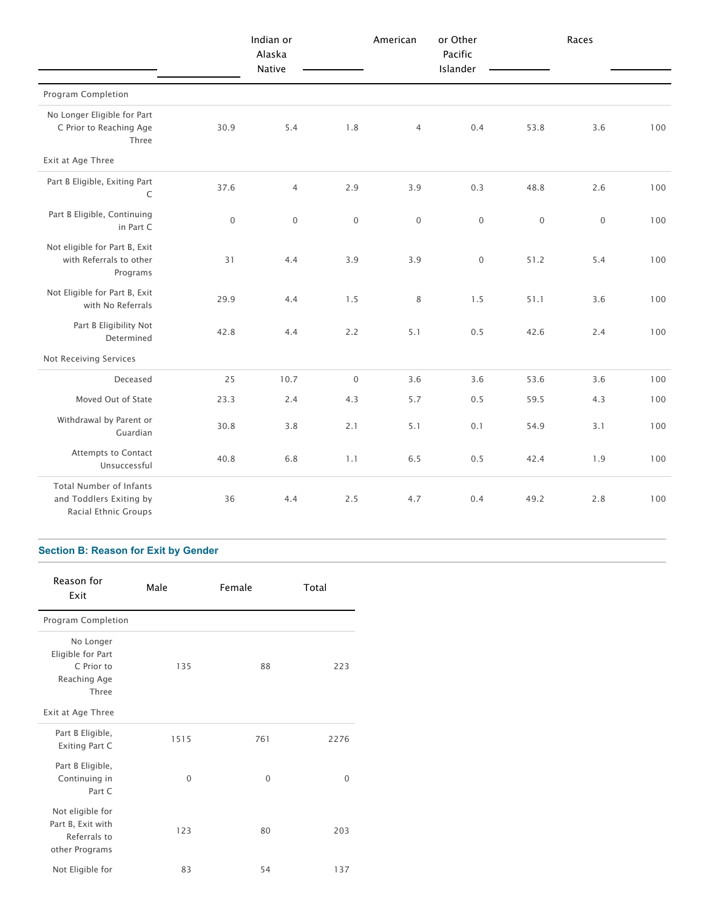|                                                                                   |                  | Indian or<br>Alaska<br>Native |                     | American            | or Other<br>Pacific<br>Islander |                  | Races            |     |
|-----------------------------------------------------------------------------------|------------------|-------------------------------|---------------------|---------------------|---------------------------------|------------------|------------------|-----|
| Program Completion                                                                |                  |                               |                     |                     |                                 |                  |                  |     |
| No Longer Eligible for Part<br>C Prior to Reaching Age<br>Three                   | 30.9             | 5.4                           | 1.8                 | $\overline{4}$      | 0.4                             | 53.8             | 3.6              | 100 |
| Exit at Age Three                                                                 |                  |                               |                     |                     |                                 |                  |                  |     |
| Part B Eligible, Exiting Part<br>$\mathsf C$                                      | 37.6             | $\overline{4}$                | 2.9                 | 3.9                 | 0.3                             | 48.8             | 2.6              | 100 |
| Part B Eligible, Continuing<br>in Part C                                          | $\boldsymbol{0}$ | $\boldsymbol{0}$              | $\mathbf 0$         | $\mathsf{O}\xspace$ | $\boldsymbol{0}$                | $\boldsymbol{0}$ | $\boldsymbol{0}$ | 100 |
| Not eligible for Part B, Exit<br>with Referrals to other<br>Programs              | 31               | 4.4                           | 3.9                 | 3.9                 | $\mathbf 0$                     | 51.2             | 5.4              | 100 |
| Not Eligible for Part B, Exit<br>with No Referrals                                | 29.9             | 4.4                           | 1.5                 | $\,8\,$             | 1.5                             | 51.1             | 3.6              | 100 |
| Part B Eligibility Not<br>Determined                                              | 42.8             | 4.4                           | 2.2                 | 5.1                 | 0.5                             | 42.6             | 2.4              | 100 |
| Not Receiving Services                                                            |                  |                               |                     |                     |                                 |                  |                  |     |
| Deceased                                                                          | 25               | 10.7                          | $\mathsf{O}\xspace$ | 3.6                 | 3.6                             | 53.6             | 3.6              | 100 |
| Moved Out of State                                                                | 23.3             | 2.4                           | 4.3                 | 5.7                 | 0.5                             | 59.5             | 4.3              | 100 |
| Withdrawal by Parent or<br>Guardian                                               | 30.8             | 3.8                           | 2.1                 | 5.1                 | 0.1                             | 54.9             | 3.1              | 100 |
| Attempts to Contact<br>Unsuccessful                                               | 40.8             | 6.8                           | 1.1                 | 6.5                 | 0.5                             | 42.4             | 1.9              | 100 |
| <b>Total Number of Infants</b><br>and Toddlers Exiting by<br>Racial Ethnic Groups | 36               | 4.4                           | 2.5                 | 4.7                 | 0.4                             | 49.2             | 2.8              | 100 |

## **Section B: Reason for Exit by Gender**

| Reason for<br>Exit                                                      | Male     | Female   | Total    |
|-------------------------------------------------------------------------|----------|----------|----------|
| Program Completion                                                      |          |          |          |
| No Longer<br>Eligible for Part<br>C Prior to<br>Reaching Age<br>Three   | 135      | 88       | 223      |
| Exit at Age Three                                                       |          |          |          |
| Part B Eligible,<br>Exiting Part C                                      | 1515     | 761      | 2276     |
| Part B Eligible,<br>Continuing in<br>Part C                             | $\Omega$ | $\Omega$ | $\Omega$ |
| Not eligible for<br>Part B, Exit with<br>Referrals to<br>other Programs | 123      | 80       | 203      |
| Not Eligible for                                                        | 83       | 54       | 137      |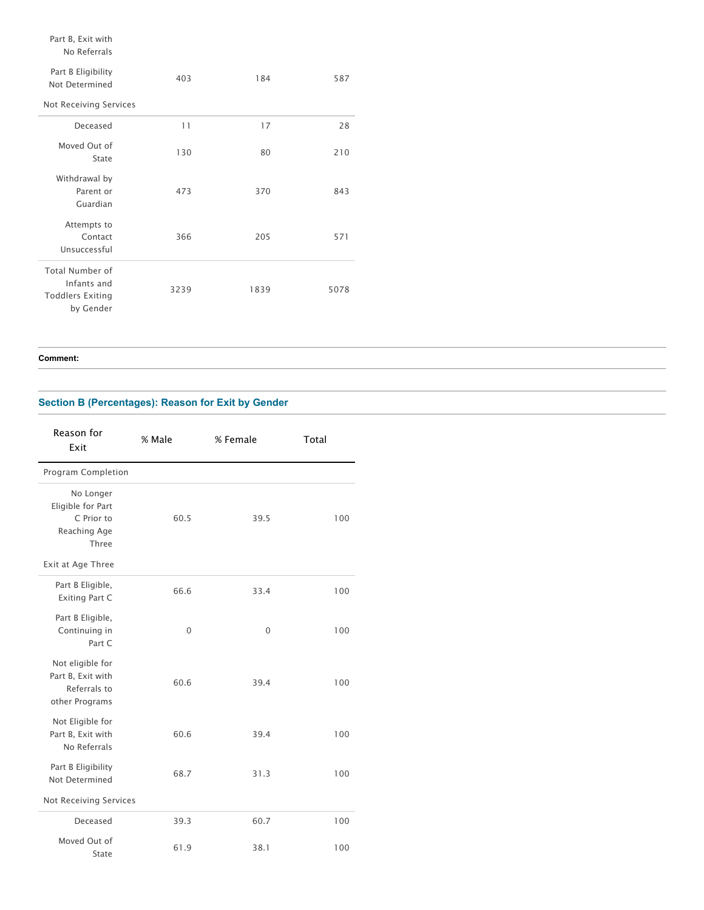## Part B, Exit with

#### No Referrals

| Part B Eligibility<br>Not Determined<br>Not Receiving Services                | 403  | 184  | 587  |
|-------------------------------------------------------------------------------|------|------|------|
| Deceased                                                                      | 11   | 17   | 28   |
|                                                                               |      |      |      |
| Moved Out of<br>State                                                         | 130  | 80   | 210  |
| Withdrawal by<br>Parent or<br>Guardian                                        | 473  | 370  | 843  |
| Attempts to<br>Contact<br>Unsuccessful                                        | 366  | 205  | 571  |
| <b>Total Number of</b><br>Infants and<br><b>Toddlers Exiting</b><br>by Gender | 3239 | 1839 | 5078 |

**Comment:** 

## **Section B (Percentages): Reason for Exit by Gender**

| Reason for<br>Exit                                                      | % Male   | % Female | Total |
|-------------------------------------------------------------------------|----------|----------|-------|
| Program Completion                                                      |          |          |       |
| No Longer<br>Eligible for Part<br>C Prior to<br>Reaching Age<br>Three   | 60.5     | 39.5     | 100   |
| Exit at Age Three                                                       |          |          |       |
| Part B Eligible,<br><b>Exiting Part C</b>                               | 66.6     | 33.4     | 100   |
| Part B Eligible,<br>Continuing in<br>Part C                             | $\Omega$ | $\Omega$ | 100   |
| Not eligible for<br>Part B, Exit with<br>Referrals to<br>other Programs | 60.6     | 39.4     | 100   |
| Not Eligible for<br>Part B, Exit with<br>No Referrals                   | 60.6     | 39.4     | 100   |
| Part B Eligibility<br>Not Determined                                    | 68.7     | 31.3     | 100   |
| Not Receiving Services                                                  |          |          |       |
| Deceased                                                                | 39.3     | 60.7     | 100   |
| Moved Out of<br>State                                                   | 61.9     | 38.1     | 100   |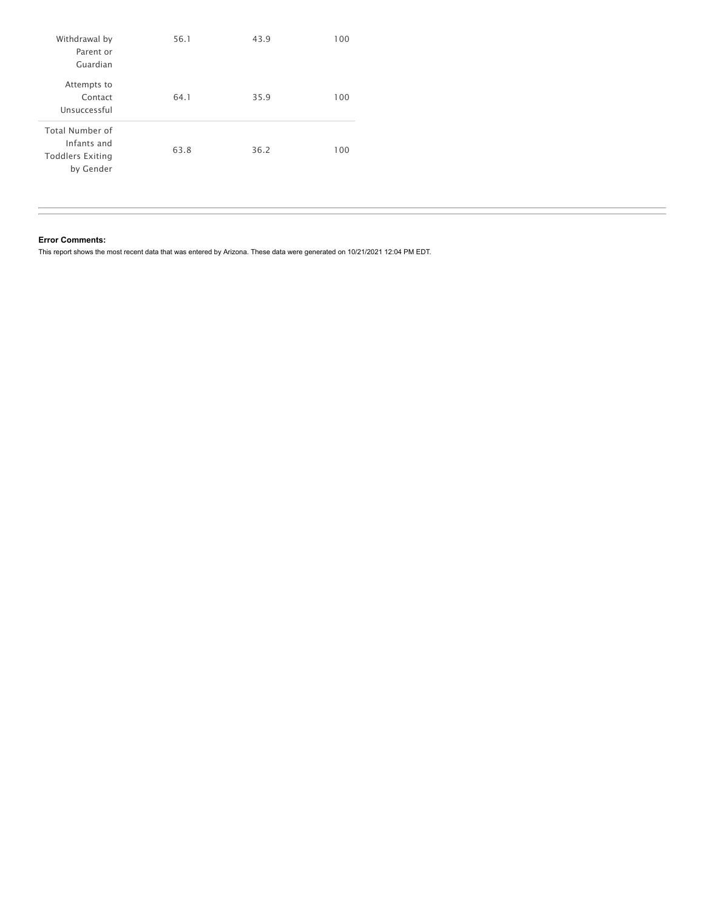| Withdrawal by<br>Parent or<br>Guardian                                        | 56.1 | 43.9 | 100 |
|-------------------------------------------------------------------------------|------|------|-----|
| Attempts to<br>Contact<br>Unsuccessful                                        | 64.1 | 35.9 | 100 |
| <b>Total Number of</b><br>Infants and<br><b>Toddlers Exiting</b><br>by Gender | 63.8 | 36.2 | 100 |

#### **Error Comments:**

This report shows the most recent data that was entered by Arizona. These data were generated on 10/21/2021 12:04 PM EDT.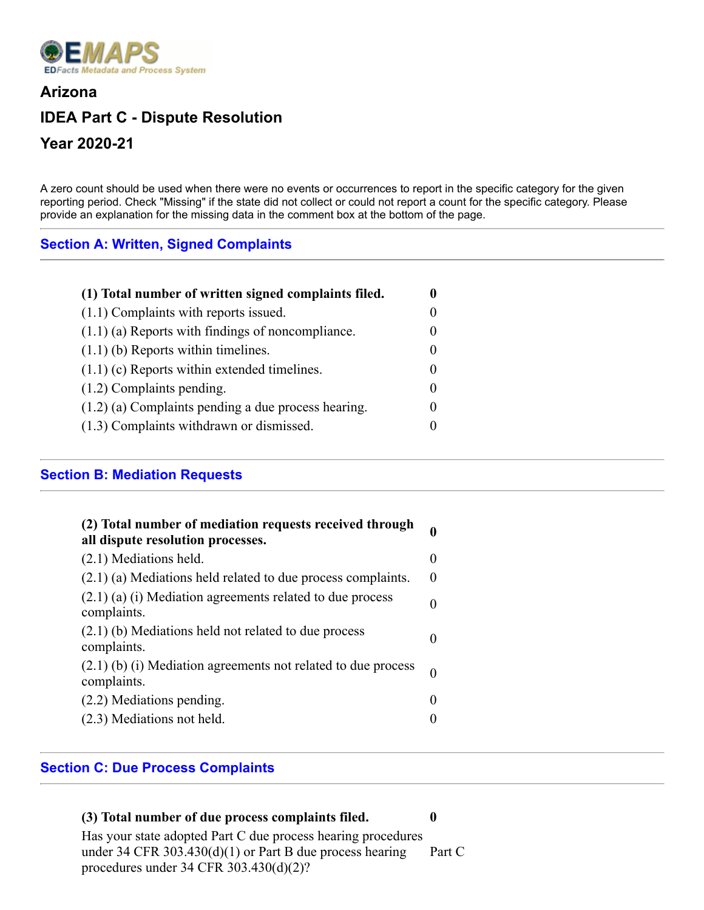

# **Arizona IDEA Part C - Dispute Resolution Year 2020-21**

A zero count should be used when there were no events or occurrences to report in the specific category for the given reporting period. Check "Missing" if the state did not collect or could not report a count for the specific category. Please provide an explanation for the missing data in the comment box at the bottom of the page.

# **Section A: Written, Signed Complaints**

| (1) Total number of written signed complaints filed.  |                   |
|-------------------------------------------------------|-------------------|
| $(1.1)$ Complaints with reports issued.               |                   |
| $(1.1)$ (a) Reports with findings of noncompliance.   |                   |
| $(1.1)$ (b) Reports within timelines.                 | $\mathbf{0}$      |
| $(1.1)$ (c) Reports within extended timelines.        |                   |
| $(1.2)$ Complaints pending.                           | $\Omega$          |
| $(1.2)$ (a) Complaints pending a due process hearing. | $\mathbf{\Omega}$ |
| (1.3) Complaints withdrawn or dismissed.              |                   |

# **Section B: Mediation Requests**

| (2) Total number of mediation requests received through<br>all dispute resolution processes. | 0        |
|----------------------------------------------------------------------------------------------|----------|
| (2.1) Mediations held.                                                                       | 0        |
| $(2.1)$ (a) Mediations held related to due process complaints.                               | $\Omega$ |
| $(2.1)$ (a) (i) Mediation agreements related to due process<br>complaints.                   | 0        |
| $(2.1)$ (b) Mediations held not related to due process<br>complaints.                        |          |
| $(2.1)$ (b) (i) Mediation agreements not related to due process<br>complaints.               | $\theta$ |
| (2.2) Mediations pending.                                                                    |          |
| (2.3) Mediations not held.                                                                   |          |

# **Section C: Due Process Complaints**

## **(3) Total number of due process complaints filed. 0**

Has your state adopted Part C due process hearing procedures under 34 CFR 303.430(d)(1) or Part B due process hearing procedures under 34 CFR 303.430(d)(2)? Part C